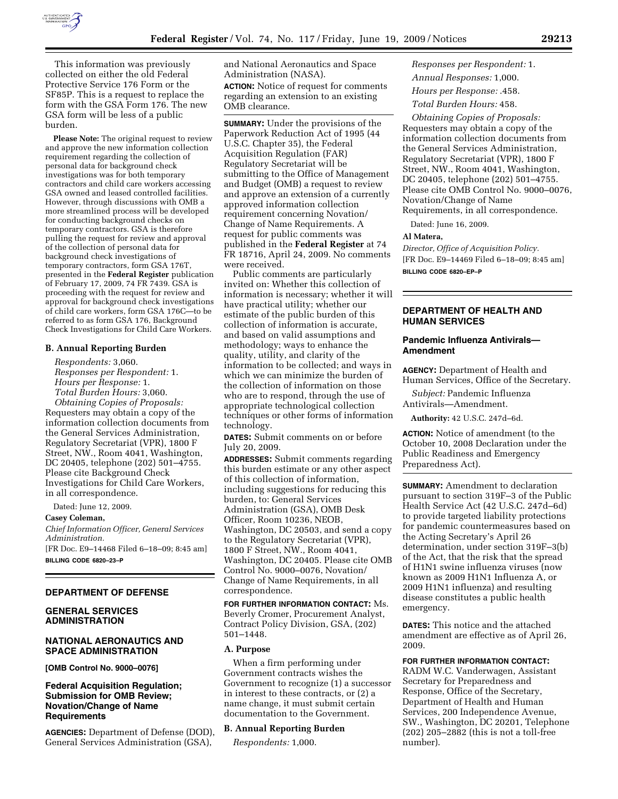

This information was previously collected on either the old Federal Protective Service 176 Form or the SF85P. This is a request to replace the form with the GSA Form 176. The new GSA form will be less of a public burden.

**Please Note:** The original request to review and approve the new information collection requirement regarding the collection of personal data for background check investigations was for both temporary contractors and child care workers accessing GSA owned and leased controlled facilities. However, through discussions with OMB a more streamlined process will be developed for conducting background checks on temporary contractors. GSA is therefore pulling the request for review and approval of the collection of personal data for background check investigations of temporary contractors, form GSA 176T, presented in the **Federal Register** publication of February 17, 2009, 74 FR 7439. GSA is proceeding with the request for review and approval for background check investigations of child care workers, form GSA 176C—to be referred to as form GSA 176, Background Check Investigations for Child Care Workers.

#### **B. Annual Reporting Burden**

*Respondents:* 3,060. *Responses per Respondent:* 1. *Hours per Response:* 1. *Total Burden Hours:* 3,060.

*Obtaining Copies of Proposals:*  Requesters may obtain a copy of the information collection documents from the General Services Administration, Regulatory Secretariat (VPR), 1800 F Street, NW., Room 4041, Washington, DC 20405, telephone (202) 501–4755. Please cite Background Check Investigations for Child Care Workers, in all correspondence.

Dated: June 12, 2009.

**Casey Coleman,** 

*Chief Information Officer, General Services Administration.*  [FR Doc. E9–14468 Filed 6–18–09; 8:45 am]

**BILLING CODE 6820–23–P** 

### **DEPARTMENT OF DEFENSE**

## **GENERAL SERVICES ADMINISTRATION**

#### **NATIONAL AERONAUTICS AND SPACE ADMINISTRATION**

**[OMB Control No. 9000–0076]** 

## **Federal Acquisition Regulation; Submission for OMB Review; Novation/Change of Name Requirements**

**AGENCIES:** Department of Defense (DOD), General Services Administration (GSA),

and National Aeronautics and Space Administration (NASA). **ACTION:** Notice of request for comments regarding an extension to an existing OMB clearance.

**SUMMARY:** Under the provisions of the Paperwork Reduction Act of 1995 (44 U.S.C. Chapter 35), the Federal Acquisition Regulation (FAR) Regulatory Secretariat will be submitting to the Office of Management and Budget (OMB) a request to review and approve an extension of a currently approved information collection requirement concerning Novation/ Change of Name Requirements. A request for public comments was published in the **Federal Register** at 74 FR 18716, April 24, 2009. No comments were received.

Public comments are particularly invited on: Whether this collection of information is necessary; whether it will have practical utility; whether our estimate of the public burden of this collection of information is accurate, and based on valid assumptions and methodology; ways to enhance the quality, utility, and clarity of the information to be collected; and ways in which we can minimize the burden of the collection of information on those who are to respond, through the use of appropriate technological collection techniques or other forms of information technology.

**DATES:** Submit comments on or before July 20, 2009.

**ADDRESSES:** Submit comments regarding this burden estimate or any other aspect of this collection of information, including suggestions for reducing this burden, to: General Services Administration (GSA), OMB Desk Officer, Room 10236, NEOB, Washington, DC 20503, and send a copy to the Regulatory Secretariat (VPR), 1800 F Street, NW., Room 4041, Washington, DC 20405. Please cite OMB Control No. 9000–0076, Novation/ Change of Name Requirements, in all correspondence.

**FOR FURTHER INFORMATION CONTACT:** Ms. Beverly Cromer, Procurement Analyst, Contract Policy Division, GSA, (202) 501–1448.

#### **A. Purpose**

When a firm performing under Government contracts wishes the Government to recognize (1) a successor in interest to these contracts, or (2) a name change, it must submit certain documentation to the Government.

#### **B. Annual Reporting Burden**

*Respondents:* 1,000.

*Responses per Respondent:* 1. *Annual Responses:* 1,000. *Hours per Response:* .458. *Total Burden Hours:* 458.

*Obtaining Copies of Proposals:*  Requesters may obtain a copy of the information collection documents from the General Services Administration, Regulatory Secretariat (VPR), 1800 F Street, NW., Room 4041, Washington, DC 20405, telephone (202) 501–4755. Please cite OMB Control No. 9000–0076, Novation/Change of Name Requirements, in all correspondence.

Dated: June 16, 2009.

### **Al Matera,**

*Director, Office of Acquisition Policy.*  [FR Doc. E9–14469 Filed 6–18–09; 8:45 am] **BILLING CODE 6820–EP–P** 

# **DEPARTMENT OF HEALTH AND HUMAN SERVICES**

#### **Pandemic Influenza Antivirals— Amendment**

**AGENCY:** Department of Health and Human Services, Office of the Secretary.

*Subject:* Pandemic Influenza Antivirals—Amendment.

**Authority:** 42 U.S.C. 247d–6d.

**ACTION:** Notice of amendment (to the October 10, 2008 Declaration under the Public Readiness and Emergency Preparedness Act).

**SUMMARY:** Amendment to declaration pursuant to section 319F–3 of the Public Health Service Act (42 U.S.C. 247d–6d) to provide targeted liability protections for pandemic countermeasures based on the Acting Secretary's April 26 determination, under section 319F–3(b) of the Act, that the risk that the spread of H1N1 swine influenza viruses (now known as 2009 H1N1 Influenza A, or 2009 H1N1 influenza) and resulting disease constitutes a public health emergency.

**DATES:** This notice and the attached amendment are effective as of April 26, 2009.

## **FOR FURTHER INFORMATION CONTACT:**

RADM W.C. Vanderwagen, Assistant Secretary for Preparedness and Response, Office of the Secretary, Department of Health and Human Services, 200 Independence Avenue, SW., Washington, DC 20201, Telephone (202) 205–2882 (this is not a toll-free number).